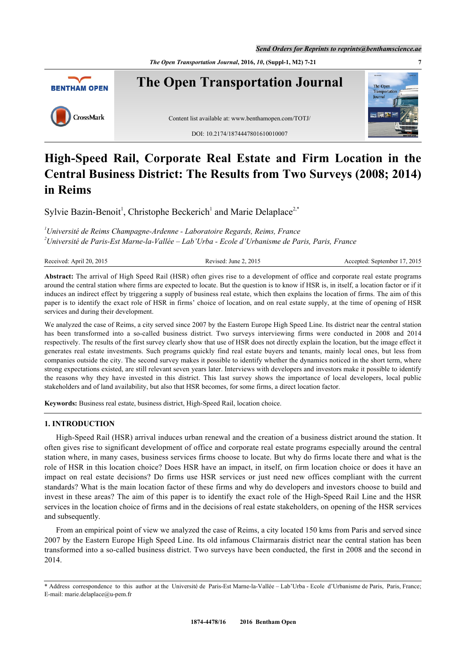*The Open Transportation Journal***, 2016,** *10***, (Suppl-1, M2) 7-21 7**



# **High-Speed Rail, Corporate Real Estate and Firm Location in the Central Business District: The Results from Two Surveys (2008; 2014) in Reims**

Sylvie Bazin-Benoit<sup>[1](#page-0-0)</sup>, Christophe Beckerich<sup>1</sup> and Marie Delaplace<sup>[2,](#page-0-1)[\\*](#page-0-2)</sup>

<span id="page-0-1"></span><span id="page-0-0"></span>*<sup>1</sup>Université de Reims Champagne-Ardenne - Laboratoire Regards, Reims, France <sup>2</sup>Université de Paris-Est Marne-la-Vallée – Lab'Urba - Ecole d'Urbanisme de Paris, Paris, France*

Received: April 20, 2015 Revised: June 2, 2015 Revised: June 2, 2015 Accepted: September 17, 2015

**Abstract:** The arrival of High Speed Rail (HSR) often gives rise to a development of office and corporate real estate programs around the central station where firms are expected to locate. But the question is to know if HSR is, in itself, a location factor or if it induces an indirect effect by triggering a supply of business real estate, which then explains the location of firms. The aim of this paper is to identify the exact role of HSR in firms' choice of location, and on real estate supply, at the time of opening of HSR services and during their development.

We analyzed the case of Reims, a city served since 2007 by the Eastern Europe High Speed Line. Its district near the central station has been transformed into a so-called business district. Two surveys interviewing firms were conducted in 2008 and 2014 respectively. The results of the first survey clearly show that use of HSR does not directly explain the location, but the image effect it generates real estate investments. Such programs quickly find real estate buyers and tenants, mainly local ones, but less from companies outside the city. The second survey makes it possible to identify whether the dynamics noticed in the short term, where strong expectations existed, are still relevant seven years later. Interviews with developers and investors make it possible to identify the reasons why they have invested in this district. This last survey shows the importance of local developers, local public stakeholders and of land availability, but also that HSR becomes, for some firms, a direct location factor.

**Keywords:** Business real estate, business district, High-Speed Rail, location choice.

# **1. INTRODUCTION**

High-Speed Rail (HSR) arrival induces urban renewal and the creation of a business district around the station. It often gives rise to significant development of office and corporate real estate programs especially around the central station where, in many cases, business services firms choose to locate. But why do firms locate there and what is the role of HSR in this location choice? Does HSR have an impact, in itself, on firm location choice or does it have an impact on real estate decisions? Do firms use HSR services or just need new offices compliant with the current standards? What is the main location factor of these firms and why do developers and investors choose to build and invest in these areas? The aim of this paper is to identify the exact role of the High-Speed Rail Line and the HSR services in the location choice of firms and in the decisions of real estate stakeholders, on opening of the HSR services and subsequently.

From an empirical point of view we analyzed the case of Reims, a city located 150 kms from Paris and served since 2007 by the Eastern Europe High Speed Line. Its old infamous Clairmarais district near the central station has been transformed into a so-called business district. Two surveys have been conducted, the first in 2008 and the second in 2014.

<span id="page-0-2"></span><sup>\*</sup> Address correspondence to this author at the Université de Paris-Est Marne-la-Vallée – Lab'Urba - Ecole d'Urbanisme de Paris, Paris, France; E-mail: [marie.delaplace@u-pem.fr](mailto:marie.delaplace@u-pem.fr)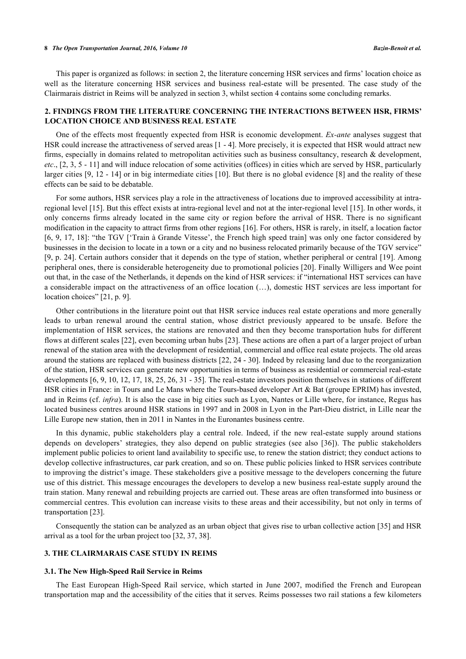#### **8** *The Open Transportation Journal, 2016, Volume 10 Bazin-Benoit et al.*

This paper is organized as follows: in section 2, the literature concerning HSR services and firms' location choice as well as the literature concerning HSR services and business real-estate will be presented. The case study of the Clairmarais district in Reims will be analyzed in section 3, whilst section 4 contains some concluding remarks.

# **2. FINDINGS FROM THE LITERATURE CONCERNING THE INTERACTIONS BETWEEN HSR, FIRMS' LOCATION CHOICE AND BUSINESS REAL ESTATE**

One of the effects most frequently expected from HSR is economic development. *Ex-ante* analyses suggest that HSR could increase the attractiveness of served areas [[1](#page-13-0) - [4\]](#page-13-1). More precisely, it is expected that HSR would attract new firms, especially in domains related to metropolitan activities such as business consultancy, research & development, *etc*., [[2,](#page-13-2) [3,](#page-13-3) [5](#page-13-4) - [11\]](#page-13-5) and will induce relocation of some activities (offices) in cities which are served by HSR, particularly larger cities [[9,](#page-13-6) [12](#page-13-7) - [14\]](#page-13-8) or in big intermediate cities [\[10\]](#page-13-9). But there is no global evidence [[8\]](#page-13-10) and the reality of these effects can be said to be debatable.

For some authors, HSR services play a role in the attractiveness of locations due to improved accessibility at intraregional level [[15\]](#page-13-11). But this effect exists at intra-regional level and not at the inter-regional level [[15\]](#page-13-11). In other words, it only concerns firms already located in the same city or region before the arrival of HSR. There is no significant modification in the capacity to attract firms from other regions [[16\]](#page-13-12). For others, HSR is rarely, in itself, a location factor [\[6](#page-13-13), [9](#page-13-6), [17](#page-13-14), [18](#page-13-15)]: "the TGV ['Train à Grande Vitesse', the French high speed train] was only one factor considered by businesses in the decision to locate in a town or a city and no business relocated primarily because of the TGV service" [\[9](#page-13-6), p. 24]. Certain authors consider that it depends on the type of station, whether peripheral or central [[19](#page-13-16)]. Among peripheral ones, there is considerable heterogeneity due to promotional policies [[20](#page-13-17)]. Finally Willigers and Wee point out that, in the case of the Netherlands, it depends on the kind of HSR services: if "international HST services can have a considerable impact on the attractiveness of an office location (…), domestic HST services are less important for location choices" [[21,](#page-13-18) p. 9].

Other contributions in the literature point out that HSR service induces real estate operations and more generally leads to urban renewal around the central station, whose district previously appeared to be unsafe. Before the implementation of HSR services, the stations are renovated and then they become transportation hubs for different flows at different scales [[22\]](#page-13-19), even becoming urban hubs [[23](#page-13-20)]. These actions are often a part of a larger project of urban renewal of the station area with the development of residential, commercial and office real estate projects. The old areas around the stations are replaced with business districts [\[22](#page-13-19), [24](#page-14-0) - [30](#page-14-1)]. Indeed by releasing land due to the reorganization of the station, HSR services can generate new opportunities in terms of business as residential or commercial real-estate developments [\[6](#page-13-13), [9,](#page-13-6) [10,](#page-13-9) [12,](#page-13-7) [17,](#page-13-14) [18](#page-13-15), [25](#page-14-2), [26](#page-14-3), [31](#page-14-4) - [35\]](#page-14-5). The real-estate investors position themselves in stations of different HSR cities in France: in Tours and Le Mans where the Tours-based developer Art & Bat (groupe EPRIM) has invested, and in Reims (cf. *infra*). It is also the case in big cities such as Lyon, Nantes or Lille where, for instance, Regus has located business centres around HSR stations in 1997 and in 2008 in Lyon in the Part-Dieu district, in Lille near the Lille Europe new station, then in 2011 in Nantes in the Euronantes business centre.

In this dynamic, public stakeholders play a central role. Indeed, if the new real-estate supply around stations depends on developers' strategies, they also depend on public strategies (see also[[36](#page-14-6)]). The public stakeholders implement public policies to orient land availability to specific use, to renew the station district; they conduct actions to develop collective infrastructures, car park creation, and so on. These public policies linked to HSR services contribute to improving the district's image. These stakeholders give a positive message to the developers concerning the future use of this district. This message encourages the developers to develop a new business real-estate supply around the train station. Many renewal and rebuilding projects are carried out. These areas are often transformed into business or commercial centres. This evolution can increase visits to these areas and their accessibility, but not only in terms of transportation [\[23](#page-13-20)].

Consequently the station can be analyzed as an urban object that gives rise to urban collective action [[35\]](#page-14-5) and HSR arrival as a tool for the urban project too [\[32](#page-14-7), [37](#page-14-8), [38](#page-14-9)].

# **3. THE CLAIRMARAIS CASE STUDY IN REIMS**

# **3.1. The New High-Speed Rail Service in Reims**

The East European High-Speed Rail service, which started in June 2007, modified the French and European transportation map and the accessibility of the cities that it serves. Reims possesses two rail stations a few kilometers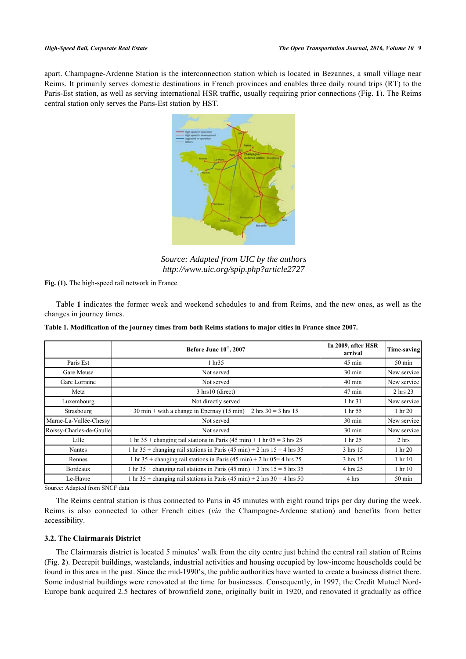<span id="page-2-0"></span>apart. Champagne-Ardenne Station is the interconnection station which is located in Bezannes, a small village near Reims. It primarily serves domestic destinations in French provinces and enables three daily round trips (RT) to the Paris-Est station, as well as serving international HSR traffic, usually requiring prior connections (Fig. **[1](#page-2-0)**). The Reims central station only serves the Paris-Est station by HST.



*Source: Adapted from UIC by the authors http://www.uic.org/spip.php?article2727* 

**Fig. (1).** The high-speed rail network in France.

Table **[1](#page-2-1)** indicates the former week and weekend schedules to and from Reims, and the new ones, as well as the changes in journey times.

|                          | Before June 10th, 2007                                                                               | In 2009, after HSR<br>arrival | Time-saving                      |
|--------------------------|------------------------------------------------------------------------------------------------------|-------------------------------|----------------------------------|
| Paris Est                | 1 hr35                                                                                               | $45 \text{ min}$              | $50 \text{ min}$                 |
| Gare Meuse               | Not served                                                                                           | $30 \text{ min}$              | New service                      |
| Gare Lorraine            | Not served                                                                                           | $40 \text{ min}$              | New service                      |
| Metz                     | 3 hrs10 (direct)                                                                                     | $47$ min                      | 2 hrs 23                         |
| Luxembourg               | Not directly served                                                                                  | 1 hr 31                       | New service                      |
| Strasbourg               | 30 min + with a change in Epernay $(15 \text{ min}) + 2 \text{ hrs } 30 = 3 \text{ hrs } 15$         | 1 hr 55                       | 1 hr 20                          |
| Marne-La-Vallée-Chessy   | Not served                                                                                           | $30 \text{ min}$              | New service                      |
| Roissy-Charles-de-Gaulle | Not served                                                                                           | $30 \text{ min}$              | New service                      |
| Lille                    | 1 hr 35 + changing rail stations in Paris $(45 \text{ min}) + 1$ hr $05 = 3$ hrs 25                  | 1 hr 25                       | 2 hrs                            |
| Nantes                   | 1 hr 35 + changing rail stations in Paris (45 min) + 2 hrs $15 = 4$ hrs 35                           | 3 hrs 15                      | 1 hr 20                          |
| Rennes                   | 1 hr 35 + changing rail stations in Paris $(45 \text{ min}) + 2 \text{ hr} 05 = 4 \text{ hrs} 25$    | 3 hrs 15                      | 1 <sub>hr</sub> 10 <sub>10</sub> |
| Bordeaux                 | 1 hr 35 + changing rail stations in Paris (45 min) + 3 hrs $15 = 5$ hrs 35                           | 4 hrs 25                      | 1 hr 10                          |
| Le-Havre                 | 1 hr 35 + changing rail stations in Paris $(45 \text{ min}) + 2 \text{ hrs } 30 = 4 \text{ hrs } 50$ | 4 hrs                         | $50 \text{ min}$                 |

<span id="page-2-1"></span>**Table 1. Modification of the journey times from both Reims stations to major cities in France since 2007.**

Source: Adapted from SNCF data

The Reims central station is thus connected to Paris in 45 minutes with eight round trips per day during the week. Reims is also connected to other French cities (*via* the Champagne-Ardenne station) and benefits from better accessibility.

# **3.2. The Clairmarais District**

The Clairmarais district is located 5 minutes' walk from the city centre just behind the central rail station of Reims (Fig. **[2](#page-3-0)**). Decrepit buildings, wastelands, industrial activities and housing occupied by low-income households could be found in this area in the past. Since the mid-1990's, the public authorities have wanted to create a business district there. Some industrial buildings were renovated at the time for businesses. Consequently, in 1997, the Credit Mutuel Nord-Europe bank acquired 2.5 hectares of brownfield zone, originally built in 1920, and renovated it gradually as office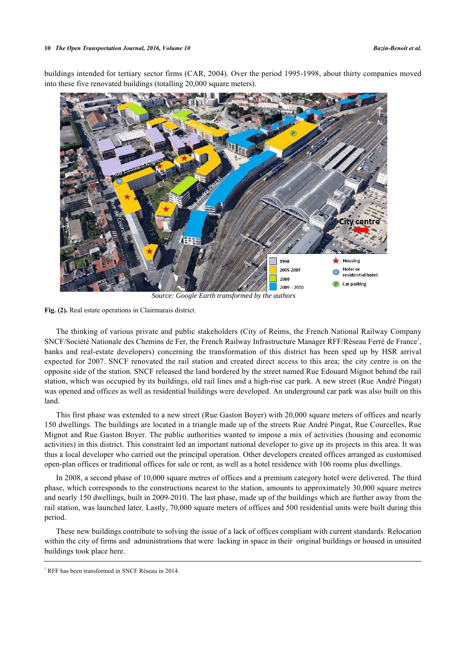<span id="page-3-0"></span>buildings intended for tertiary sector firms (CAR, 2004). Over the period 1995-1998, about thirty companies moved into these five renovated buildings (totalling 20,000 square meters).



**Fig. (2).** Real estate operations in Clairmarais district.

The thinking of various private and public stakeholders (City of Reims, the French National Railway Company SNCF/Société Nationale des Chemins de Fer, the French Railway Infrastructure Manager RFF/Réseau Ferré de France<sup>[1](#page--1-0)</sup>, banks and real-estate developers) concerning the transformation of this district has been sped up by HSR arrival expected for 2007. SNCF renovated the rail station and created direct access to this area; the city centre is on the opposite side of the station. SNCF released the land bordered by the street named Rue Edouard Mignot behind the rail station, which was occupied by its buildings, old rail lines and a high-rise car park. A new street (Rue André Pingat) was opened and offices as well as residential buildings were developed. An underground car park was also built on this land.

This first phase was extended to a new street (Rue Gaston Boyer) with 20,000 square meters of offices and nearly 150 dwellings. The buildings are located in a triangle made up of the streets Rue André Pingat, Rue Courcelles, Rue Mignot and Rue Gaston Boyer. The public authorities wanted to impose a mix of activities (housing and economic activities) in this district. This constraint led an important national developer to give up its projects in this area. It was thus a local developer who carried out the principal operation. Other developers created offices arranged as customised open-plan offices or traditional offices for sale or rent, as well as a hotel residence with 106 rooms plus dwellings.

In 2008, a second phase of 10,000 square metres of offices and a premium category hotel were delivered. The third phase, which corresponds to the constructions nearest to the station, amounts to approximately 30,000 square metres and nearly 150 dwellings, built in 2009-2010. The last phase, made up of the buildings which are further away from the rail station, was launched later. Lastly, 70,000 square meters of offices and 500 residential units were built during this period.

These new buildings contribute to solving the issue of a lack of offices compliant with current standards. Relocation within the city of firms and administrations that were lacking in space in their original buildings or housed in unsuited buildings took place here.

<sup>&</sup>lt;sup>1</sup> RFF has been transformed in SNCF Réseau in 2014.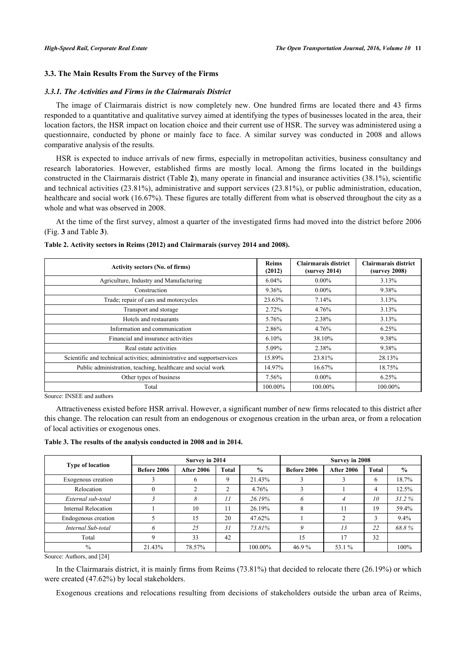# **3.3. The Main Results From the Survey of the Firms**

### *3.3.1. The Activities and Firms in the Clairmarais District*

The image of Clairmarais district is now completely new. One hundred firms are located there and 43 firms responded to a quantitative and qualitative survey aimed at identifying the types of businesses located in the area, their location factors, the HSR impact on location choice and their current use of HSR. The survey was administered using a questionnaire, conducted by phone or mainly face to face. A similar survey was conducted in 2008 and allows comparative analysis of the results.

HSR is expected to induce arrivals of new firms, especially in metropolitan activities, business consultancy and research laboratories. However, established firms are mostly local. Among the firms located in the buildings constructed in the Clairmarais district (Table **[2](#page-4-0)**), many operate in financial and insurance activities (38.1%), scientific and technical activities (23.81%), administrative and support services (23.81%), or public administration, education, healthcare and social work (16.67%). These figures are totally different from what is observed throughout the city as a whole and what was observed in 2008.

At the time of the first survey, almost a quarter of the investigated firms had moved into the district before 2006 (Fig. **[3](#page-5-0)** and Table **[3](#page-4-1)**).

| <b>Activity sectors (No. of firms)</b>                                  | <b>Reims</b><br>(2012) | Clairmarais district<br>(survey 2014) | Clairmarais district<br>(survey 2008) |
|-------------------------------------------------------------------------|------------------------|---------------------------------------|---------------------------------------|
| Agriculture, Industry and Manufacturing                                 | 6.04%                  | $0.00\%$                              | 3.13%                                 |
| Construction                                                            | 9.36%                  | $0.00\%$                              | 9.38%                                 |
| Trade; repair of cars and motorcycles                                   | 23.63%                 | 7.14%                                 | 3.13%                                 |
| Transport and storage                                                   | 2.72%                  | 4.76%                                 | 3.13%                                 |
| Hotels and restaurants                                                  | 5.76%                  | 2.38%                                 | 3.13%                                 |
| Information and communication                                           | 2.86%                  | 4.76%                                 | 6.25%                                 |
| Financial and insurance activities                                      | 6.10%                  | 38.10%                                | 9.38%                                 |
| Real estate activities                                                  | 5.09%                  | 2.38%                                 | 9.38%                                 |
| Scientific and technical activities; administrative and supportservices | 15.89%                 | 23.81%                                | 28.13%                                |
| Public administration, teaching, healthcare and social work             | 14.97%                 | 16.67%                                | 18.75%                                |
| Other types of business                                                 | 7.56%                  | $0.00\%$                              | 6.25%                                 |
| Total                                                                   | 100.00%                | 100.00%                               | 100.00%                               |

### <span id="page-4-0"></span>**Table 2. Activity sectors in Reims (2012) and Clairmarais (survey 2014 and 2008).**

Source: INSEE and authors

Attractiveness existed before HSR arrival. However, a significant number of new firms relocated to this district after this change. The relocation can result from an endogenous or exogenous creation in the urban area, or from a relocation of local activities or exogenous ones.

<span id="page-4-1"></span>**Table 3. The results of the analysis conducted in 2008 and in 2014.**

|                         |             | Survey in 2014    |       |               | Survey in 2008 |                   |       |               |
|-------------------------|-------------|-------------------|-------|---------------|----------------|-------------------|-------|---------------|
| <b>Type of location</b> | Before 2006 | <b>After 2006</b> | Total | $\frac{0}{0}$ | Before 2006    | <b>After 2006</b> | Total | $\frac{0}{0}$ |
| Exogenous creation      |             | 6                 | 9     | 21.43%        |                |                   | 6     | 18.7%         |
| Relocation              |             | 2                 | 2     | 4.76%         |                |                   | 4     | 12.5%         |
| External sub-total      |             | 8                 | 11    | 26.19%        | <sup>0</sup>   |                   | 10    | 31.2%         |
| Internal Relocation     |             | 10                | 11    | 26.19%        | 8              | 11                | 19    | 59.4%         |
| Endogenous creation     |             | 15                | 20    | 47.62%        |                |                   |       | 9.4%          |
| Internal Sub-total      |             | 25                | 31    | 73.81%        |                | 13                | 22    | 68.8%         |
| Total                   |             | 33                | 42    |               | 15             | 17                | 32    |               |
| $\frac{0}{0}$           | 21.43%      | 78.57%            |       | 100.00%       | 46.9%          | 53.1 %            |       | 100%          |

Source: Authors, and [\[24](#page-14-0)]

In the Clairmarais district, it is mainly firms from Reims (73.81%) that decided to relocate there (26.19%) or which were created (47.62%) by local stakeholders.

Exogenous creations and relocations resulting from decisions of stakeholders outside the urban area of Reims,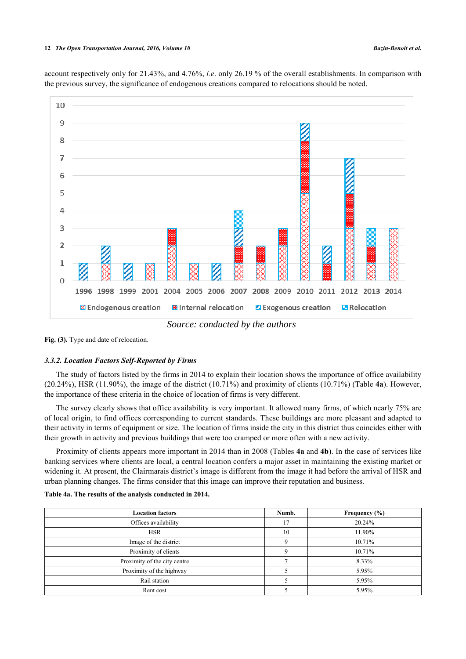account respectively only for 21.43%, and 4.76%, *i.e*. only 26.19 % of the overall establishments. In comparison with the previous survey, the significance of endogenous creations compared to relocations should be noted.

<span id="page-5-0"></span>

*Source: conducted by the authors* 

Fig. (3). Type and date of relocation.

### *3.3.2. Location Factors Self-Reported by Firms*

The study of factors listed by the firms in 2014 to explain their location shows the importance of office availability (20.24%), HSR (11.90%), the image of the district (10.71%) and proximity of clients (10.71%) (Table **[4a](#page-6-0)**). However, the importance of these criteria in the choice of location of firms is very different.

The survey clearly shows that office availability is very important. It allowed many firms, of which nearly 75% are of local origin, to find offices corresponding to current standards. These buildings are more pleasant and adapted to their activity in terms of equipment or size. The location of firms inside the city in this district thus coincides either with their growth in activity and previous buildings that were too cramped or more often with a new activity.

Proximity of clients appears more important in 2014 than in 2008 (Tables **[4a](#page-6-0)** and **[4b](#page-6-0)**). In the case of services like banking services where clients are local, a central location confers a major asset in maintaining the existing market or widening it. At present, the Clairmarais district's image is different from the image it had before the arrival of HSR and urban planning changes. The firms consider that this image can improve their reputation and business.

| <b>Location factors</b>      | Numb. | Frequency $(\% )$ |
|------------------------------|-------|-------------------|
| Offices availability         | 17    | 20.24%            |
| <b>HSR</b>                   | 10    | 11.90%            |
| Image of the district        |       | 10.71%            |
| Proximity of clients         |       | 10.71%            |
| Proximity of the city centre |       | 8.33%             |
| Proximity of the highway     |       | 5.95%             |
| Rail station                 |       | 5.95%             |
| Rent cost                    |       | 5.95%             |

#### **Table 4a. The results of the analysis conducted in 2014.**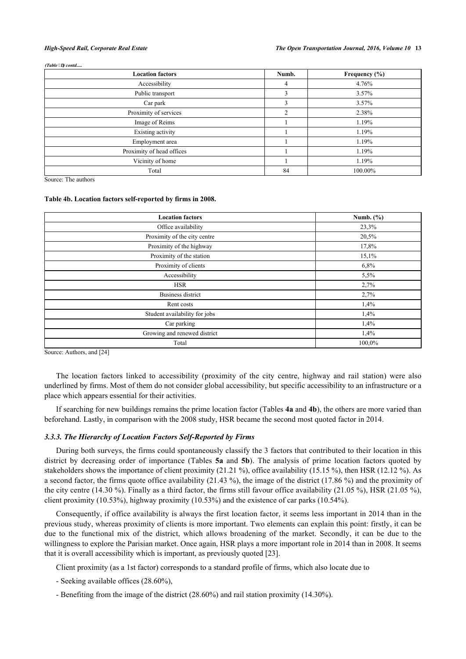*(Table D) contd.....*

| <b>Location factors</b>   | Numb.          | Frequency (%) |
|---------------------------|----------------|---------------|
| Accessibility             | 4              | 4.76%         |
| Public transport          | 3              | 3.57%         |
| Car park                  | ٩              | 3.57%         |
| Proximity of services     | $\mathfrak{D}$ | 2.38%         |
| Image of Reims            |                | 1.19%         |
| Existing activity         |                | 1.19%         |
| Employment area           |                | 1.19%         |
| Proximity of head offices |                | 1.19%         |
| Vicinity of home          |                | 1.19%         |
| Total                     | 84             | 100.00%       |

Source: The authors

#### <span id="page-6-0"></span>**Table 4b. Location factors self-reported by firms in 2008.**

| <b>Location factors</b>       | Numb. $(\% )$ |
|-------------------------------|---------------|
| Office availability           | 23,3%         |
| Proximity of the city centre  | 20,5%         |
| Proximity of the highway      | 17,8%         |
| Proximity of the station      | 15,1%         |
| Proximity of clients          | 6,8%          |
| Accessibility                 | 5,5%          |
| <b>HSR</b>                    | 2,7%          |
| Business district             | 2,7%          |
| Rent costs                    | 1,4%          |
| Student availability for jobs | 1,4%          |
| Car parking                   | 1,4%          |
| Growing and renewed district  | 1,4%          |
| Total                         | 100,0%        |

Source: Authors, and [\[24](#page-14-0)]

The location factors linked to accessibility (proximity of the city centre, highway and rail station) were also underlined by firms. Most of them do not consider global accessibility, but specific accessibility to an infrastructure or a place which appears essential for their activities.

If searching for new buildings remains the prime location factor (Tables **[4a](#page-6-0)** and **[4b](#page-6-0)**), the others are more varied than beforehand. Lastly, in comparison with the 2008 study, HSR became the second most quoted factor in 2014.

# *3.3.3. The Hierarchy of Location Factors Self-Reported by Firms*

During both surveys, the firms could spontaneously classify the 3 factors that contributed to their location in this district by decreasing order of importance (Tables **[5a](#page-7-0)** and **[5b](#page-7-0)**). The analysis of prime location factors quoted by stakeholders shows the importance of client proximity (21.21 %), office availability (15.15 %), then HSR (12.12 %). As a second factor, the firms quote office availability (21.43 %), the image of the district (17.86 %) and the proximity of the city centre (14.30 %). Finally as a third factor, the firms still favour office availability (21.05 %), HSR (21.05 %), client proximity (10.53%), highway proximity (10.53%) and the existence of car parks (10.54%).

Consequently, if office availability is always the first location factor, it seems less important in 2014 than in the previous study, whereas proximity of clients is more important. Two elements can explain this point: firstly, it can be due to the functional mix of the district, which allows broadening of the market. Secondly, it can be due to the willingness to explore the Parisian market. Once again, HSR plays a more important role in 2014 than in 2008. It seems that it is overall accessibility which is important, as previously quoted [\[23](#page-13-20)].

Client proximity (as a 1st factor) corresponds to a standard profile of firms, which also locate due to

- Seeking available offices (28.60%),
- Benefiting from the image of the district (28.60%) and rail station proximity (14.30%).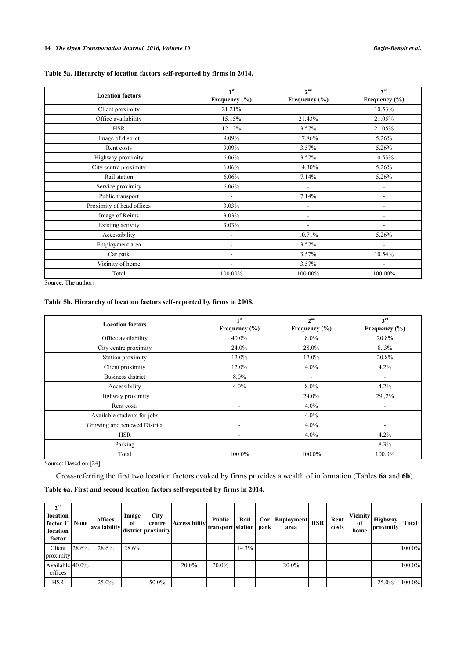# **Table 5a. Hierarchy of location factors self-reported by firms in 2014.**

| <b>Location factors</b>   | 1 <sup>st</sup>              | 2 <sup>nd</sup>              | 3 <sup>rd</sup>   |
|---------------------------|------------------------------|------------------------------|-------------------|
|                           | Frequency (%)                | Frequency (%)                | Frequency $(\% )$ |
| Client proximity          | 21.21%                       |                              | 10.53%            |
| Office availability       | 15.15%                       | 21.43%                       | 21.05%            |
| <b>HSR</b>                | 12.12%                       | 3.57%                        | 21.05%            |
| Image of district         | 9.09%                        | 17.86%                       | 5.26%             |
| Rent costs                | 9.09%                        | 3.57%                        | 5.26%             |
| Highway proximity         | 6.06%                        | 3.57%                        | 10.53%            |
| City centre proximity     | 6.06%                        | 14.30%                       | 5.26%             |
| Rail station              | 6.06%                        | 7.14%                        | 5.26%             |
| Service proximity         | 6.06%                        | ۰                            |                   |
| Public transport          | $\qquad \qquad \blacksquare$ | 7.14%                        | ٠                 |
| Proximity of head offices | 3.03%                        | $\qquad \qquad \blacksquare$ | ۰                 |
| Image of Reims            | 3.03%                        | $\overline{\phantom{a}}$     | ۰                 |
| Existing activity         | 3.03%                        | $\overline{\phantom{a}}$     |                   |
| Accessibility             |                              | 10.71%                       | 5.26%             |
| Employment area           |                              | 3.57%                        | ۰                 |
| Car park                  |                              | 3.57%                        | 10.54%            |
| Vicinity of home          |                              | 3.57%                        |                   |
| Total                     | 100.00%                      | 100.00%                      | 100.00%           |

Source: The authors

# <span id="page-7-0"></span>**Table 5b. Hierarchy of location factors self-reported by firms in 2008.**

| <b>Location factors</b>      | 1 <sup>st</sup>   | 2 <sup>nd</sup>          | 3 <sup>rd</sup>   |
|------------------------------|-------------------|--------------------------|-------------------|
|                              | Frequency $(\% )$ | Frequency $(\% )$        | Frequency $(\% )$ |
| Office availability          | 40.0%             | 8.0%                     | 20.8%             |
| City centre proximity        | 24.0%             | 28.0%                    | 8.3%              |
| Station proximity            | 12.0%             | 12.0%                    | 20.8%             |
| Client proximity             | 12.0%             | $4.0\%$                  | 4.2%              |
| <b>Business district</b>     | 8.0%              | $\overline{\phantom{a}}$ | ۰                 |
| Accessibility                | $4.0\%$           | 8.0%                     | 4.2%              |
| Highway proximity            |                   | 24.0%                    | 29.,2%            |
| Rent costs                   |                   | $4.0\%$                  |                   |
| Available students for jobs  | ۰                 | $4.0\%$                  |                   |
| Growing and renewed District |                   | $4.0\%$                  |                   |
| <b>HSR</b>                   | ٠                 | $4.0\%$                  | 4.2%              |
| Parking                      |                   | $\overline{\phantom{0}}$ | 8.3%              |
| Total                        | 100.0%            | 100.0%                   | 100.0%            |

Source: Based on [\[24](#page-14-0)]

Cross-referring the first two location factors evoked by firms provides a wealth of information (Tables **[6a](#page-8-0)** and **[6b](#page-8-0)**). **Table 6a. First and second location factors self-reported by firms in 2014.**

| $\boldsymbol{\gamma}$ <sup>nd</sup><br>location<br>factor 1 <sup>st</sup>   None  <br>location<br>factor |       | offices<br>availability | Image<br>of | City<br>centre<br>district proximity | $[Accessibility] \label{eq:1} \left\vert \frac{1}{\text{transport}} \right\vert \text{station} \left\vert \text{ park} \right\vert^{\text{J}}$ | Public | Rail  | Car Enployment<br>area | <b>HSR</b> | Rent<br>costs | of<br>home | $ V$ icinity $ H$ ighway<br>proximity | Total  |
|----------------------------------------------------------------------------------------------------------|-------|-------------------------|-------------|--------------------------------------|------------------------------------------------------------------------------------------------------------------------------------------------|--------|-------|------------------------|------------|---------------|------------|---------------------------------------|--------|
| Client<br>proximity                                                                                      | 28.6% | 28.6%                   | $28.6\%$    |                                      |                                                                                                                                                |        | 14.3% |                        |            |               |            |                                       | 100.0% |
| Available 40.0%<br>offices                                                                               |       |                         |             |                                      | 20.0%                                                                                                                                          | 20.0%  |       | 20.0%                  |            |               |            |                                       | 100.0% |
| <b>HSR</b>                                                                                               |       | 25.0%                   |             | 50.0%                                |                                                                                                                                                |        |       |                        |            |               |            | 25.0%                                 | 100.0% |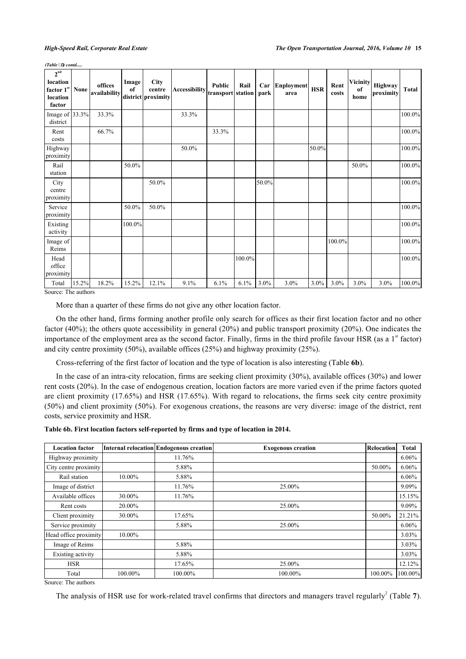*(Table D) contd.....*

| $2^{nd}$<br>location<br>factor 1st<br>location<br>factor | None  | offices<br>availability | Image<br>of | <b>City</b><br>centre<br>district proximity | $ {\text{Accessibility}}\left \text{transport}\right $ station | <b>Public</b> | Rail   | Car<br>park | <b>Enployment</b><br>area | <b>HSR</b> | Rent<br>costs | <b>Vicinity</b><br>of<br>home | Highway<br>proximity | Total  |
|----------------------------------------------------------|-------|-------------------------|-------------|---------------------------------------------|----------------------------------------------------------------|---------------|--------|-------------|---------------------------|------------|---------------|-------------------------------|----------------------|--------|
| Image of $33.3%$<br>district                             |       | 33.3%                   |             |                                             | 33.3%                                                          |               |        |             |                           |            |               |                               |                      | 100.0% |
| Rent<br>costs                                            |       | 66.7%                   |             |                                             |                                                                | 33.3%         |        |             |                           |            |               |                               |                      | 100.0% |
| Highway<br>proximity                                     |       |                         |             |                                             | 50.0%                                                          |               |        |             |                           | 50.0%      |               |                               |                      | 100.0% |
| Rail<br>station                                          |       |                         | 50.0%       |                                             |                                                                |               |        |             |                           |            |               | 50.0%                         |                      | 100.0% |
| City<br>centre<br>proximity                              |       |                         |             | 50.0%                                       |                                                                |               |        | 50.0%       |                           |            |               |                               |                      | 100.0% |
| Service<br>proximity                                     |       |                         | 50.0%       | 50.0%                                       |                                                                |               |        |             |                           |            |               |                               |                      | 100.0% |
| Existing<br>activity                                     |       |                         | 100.0%      |                                             |                                                                |               |        |             |                           |            |               |                               |                      | 100.0% |
| Image of<br>Reims                                        |       |                         |             |                                             |                                                                |               |        |             |                           |            | 100.0%        |                               |                      | 100.0% |
| Head<br>office<br>proximity                              |       |                         |             |                                             |                                                                |               | 100.0% |             |                           |            |               |                               |                      | 100.0% |
| Total                                                    | 15.2% | 18.2%                   | 15.2%       | 12.1%                                       | 9.1%                                                           | 6.1%          | 6.1%   | 3.0%        | 3.0%                      | $3.0\%$    | $3.0\%$       | 3.0%                          | 3.0%                 | 100.0% |

Source: The authors

More than a quarter of these firms do not give any other location factor.

On the other hand, firms forming another profile only search for offices as their first location factor and no other factor (40%); the others quote accessibility in general (20%) and public transport proximity (20%). One indicates the importance of the employment area as the second factor. Finally, firms in the third profile favour HSR (as a  $1<sup>st</sup>$  factor) and city centre proximity (50%), available offices (25%) and highway proximity (25%).

Cross-referring of the first factor of location and the type of location is also interesting (Table **[6b](#page-8-0)**).

In the case of an intra-city relocation, firms are seeking client proximity (30%), available offices (30%) and lower rent costs (20%). In the case of endogenous creation, location factors are more varied even if the prime factors quoted are client proximity (17.65%) and HSR (17.65%). With regard to relocations, the firms seek city centre proximity (50%) and client proximity (50%). For exogenous creations, the reasons are very diverse: image of the district, rent costs, service proximity and HSR.

<span id="page-8-0"></span>**Table 6b. First location factors self-reported by firms and type of location in 2014.**

| <b>Location factor</b> |         | Internal relocation Endogenous creation | <b>Exogenous creation</b> | <b>Relocation</b> | <b>Total</b> |
|------------------------|---------|-----------------------------------------|---------------------------|-------------------|--------------|
| Highway proximity      |         | 11.76%                                  |                           |                   | 6.06%        |
| City centre proximity  |         | 5.88%                                   |                           | 50.00%            | 6.06%        |
| Rail station           | 10.00%  | 5.88%                                   |                           |                   | 6.06%        |
| Image of district      |         | 11.76%                                  | 25.00%                    |                   | 9.09%        |
| Available offices      | 30.00%  | 11.76%                                  |                           |                   | 15.15%       |
| Rent costs             | 20.00%  |                                         | 25.00%                    |                   | 9.09%        |
| Client proximity       | 30.00%  | 17.65%                                  |                           | 50.00%            | 21.21%       |
| Service proximity      |         | 5.88%                                   | 25.00%                    |                   | 6.06%        |
| Head office proximity  | 10.00%  |                                         |                           |                   | 3.03%        |
| Image of Reims         |         | 5.88%                                   |                           |                   | 3.03%        |
| Existing activity      |         | 5.88%                                   |                           |                   | 3.03%        |
| <b>HSR</b>             |         | 17.65%                                  | 25.00%                    |                   | 12.12%       |
| Total                  | 100.00% | 100.00%                                 | 100.00%                   | 100.00%           | 100.00%      |

Source: The authors

The analysis of HSR use for work-related travel confirms that directors and managers travel regularly<sup>[2](#page--1-0)</sup> (Table  $7$ ).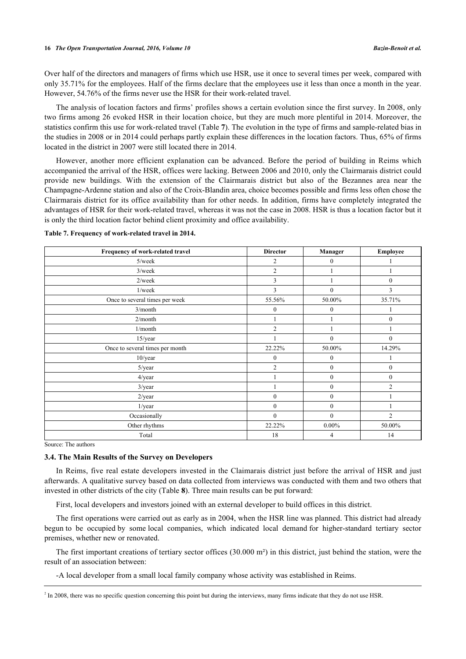Over half of the directors and managers of firms which use HSR, use it once to several times per week, compared with only 35.71% for the employees. Half of the firms declare that the employees use it less than once a month in the year. However, 54.76% of the firms never use the HSR for their work-related travel.

The analysis of location factors and firms' profiles shows a certain evolution since the first survey. In 2008, only two firms among 26 evoked HSR in their location choice, but they are much more plentiful in 2014. Moreover, the statistics confirm this use for work-related travel (Table **[7](#page-9-0)**). The evolution in the type of firms and sample-related bias in the studies in 2008 or in 2014 could perhaps partly explain these differences in the location factors. Thus, 65% of firms located in the district in 2007 were still located there in 2014.

However, another more efficient explanation can be advanced. Before the period of building in Reims which accompanied the arrival of the HSR, offices were lacking. Between 2006 and 2010, only the Clairmarais district could provide new buildings. With the extension of the Clairmarais district but also of the Bezannes area near the Champagne-Ardenne station and also of the Croix-Blandin area, choice becomes possible and firms less often chose the Clairmarais district for its office availability than for other needs. In addition, firms have completely integrated the advantages of HSR for their work-related travel, whereas it was not the case in 2008. HSR is thus a location factor but it is only the third location factor behind client proximity and office availability.

| Frequency of work-related travel | <b>Director</b> | <b>Manager</b>   | Employee       |
|----------------------------------|-----------------|------------------|----------------|
| 5/week                           | 2               | $\boldsymbol{0}$ |                |
| $3$ /week                        | 2               |                  |                |
| $2$ /week                        | 3               |                  | $\mathbf{0}$   |
| 1/week                           | 3               | $\theta$         | 3              |
| Once to several times per week   | 55.56%          | 50.00%           | 35.71%         |
| 3/month                          | $\mathbf{0}$    | $\mathbf{0}$     |                |
| 2/month                          |                 |                  | $\mathbf{0}$   |
| 1/month                          | $\overline{2}$  |                  |                |
| 15/year                          |                 | $\theta$         | $\mathbf{0}$   |
| Once to several times per month  | 22.22%          | 50.00%           | 14.29%         |
| 10/year                          | $\mathbf{0}$    | $\mathbf{0}$     |                |
| 5/year                           | $\overline{2}$  | $\mathbf{0}$     | $\mathbf{0}$   |
| 4/year                           |                 | $\mathbf{0}$     | $\mathbf{0}$   |
| $3$ /year                        |                 | $\mathbf{0}$     | $\overline{2}$ |
| $2$ /year                        | $\overline{0}$  | $\mathbf{0}$     |                |
| $1$ /year                        | $\overline{0}$  | $\mathbf{0}$     |                |
| Occasionally                     | $\mathbf{0}$    | $\mathbf{0}$     | $\overline{2}$ |
| Other rhythms                    | 22.22%          | $0.00\%$         | 50.00%         |
| Total                            | 18              | 4                | 14             |

<span id="page-9-0"></span>**Table 7. Frequency of work-related travel in 2014.**

Source: The authors

# **3.4. The Main Results of the Survey on Developers**

In Reims, five real estate developers invested in the Claimarais district just before the arrival of HSR and just afterwards. A qualitative survey based on data collected from interviews was conducted with them and two others that invested in other districts of the city (Table **[8](#page-11-0)**). Three main results can be put forward:

First, local developers and investors joined with an external developer to build offices in this district.

The first operations were carried out as early as in 2004, when the HSR line was planned. This district had already begun to be occupied by some local companies, which indicated local demand for higher-standard tertiary sector premises, whether new or renovated.

The first important creations of tertiary sector offices (30.000 m²) in this district, just behind the station, were the result of an association between:

-A local developer from a small local family company whose activity was established in Reims.

 $<sup>2</sup>$  In 2008, there was no specific question concerning this point but during the interviews, many firms indicate that they do not use HSR.</sup>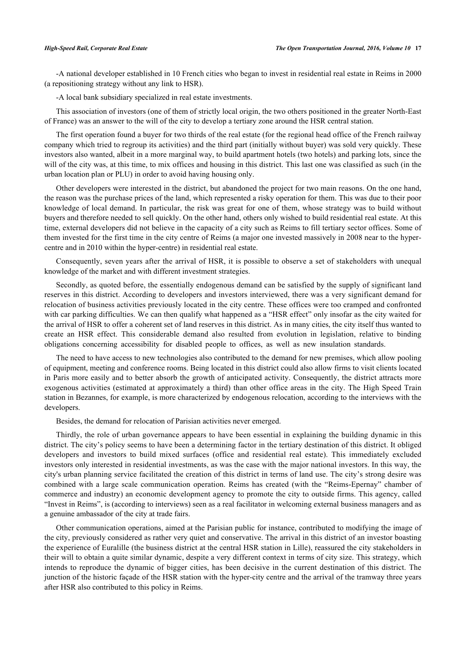-A national developer established in 10 French cities who began to invest in residential real estate in Reims in 2000 (a repositioning strategy without any link to HSR).

-A local bank subsidiary specialized in real estate investments.

This association of investors (one of them of strictly local origin, the two others positioned in the greater North-East of France) was an answer to the will of the city to develop a tertiary zone around the HSR central station.

The first operation found a buyer for two thirds of the real estate (for the regional head office of the French railway company which tried to regroup its activities) and the third part (initially without buyer) was sold very quickly. These investors also wanted, albeit in a more marginal way, to build apartment hotels (two hotels) and parking lots, since the will of the city was, at this time, to mix offices and housing in this district. This last one was classified as such (in the urban location plan or PLU) in order to avoid having housing only.

Other developers were interested in the district, but abandoned the project for two main reasons. On the one hand, the reason was the purchase prices of the land, which represented a risky operation for them. This was due to their poor knowledge of local demand. In particular, the risk was great for one of them, whose strategy was to build without buyers and therefore needed to sell quickly. On the other hand, others only wished to build residential real estate. At this time, external developers did not believe in the capacity of a city such as Reims to fill tertiary sector offices. Some of them invested for the first time in the city centre of Reims (a major one invested massively in 2008 near to the hypercentre and in 2010 within the hyper-centre) in residential real estate.

Consequently, seven years after the arrival of HSR, it is possible to observe a set of stakeholders with unequal knowledge of the market and with different investment strategies.

Secondly, as quoted before, the essentially endogenous demand can be satisfied by the supply of significant land reserves in this district. According to developers and investors interviewed, there was a very significant demand for relocation of business activities previously located in the city centre. These offices were too cramped and confronted with car parking difficulties. We can then qualify what happened as a "HSR effect" only insofar as the city waited for the arrival of HSR to offer a coherent set of land reserves in this district. As in many cities, the city itself thus wanted to create an HSR effect. This considerable demand also resulted from evolution in legislation, relative to binding obligations concerning accessibility for disabled people to offices, as well as new insulation standards.

The need to have access to new technologies also contributed to the demand for new premises, which allow pooling of equipment, meeting and conference rooms. Being located in this district could also allow firms to visit clients located in Paris more easily and to better absorb the growth of anticipated activity. Consequently, the district attracts more exogenous activities (estimated at approximately a third) than other office areas in the city. The High Speed Train station in Bezannes, for example, is more characterized by endogenous relocation, according to the interviews with the developers.

Besides, the demand for relocation of Parisian activities never emerged.

Thirdly, the role of urban governance appears to have been essential in explaining the building dynamic in this district. The city's policy seems to have been a determining factor in the tertiary destination of this district. It obliged developers and investors to build mixed surfaces (office and residential real estate). This immediately excluded investors only interested in residential investments, as was the case with the major national investors. In this way, the city's urban planning service facilitated the creation of this district in terms of land use. The city's strong desire was combined with a large scale communication operation. Reims has created (with the "Reims-Epernay" chamber of commerce and industry) an economic development agency to promote the city to outside firms. This agency, called "Invest in Reims", is (according to interviews) seen as a real facilitator in welcoming external business managers and as a genuine ambassador of the city at trade fairs.

Other communication operations, aimed at the Parisian public for instance, contributed to modifying the image of the city, previously considered as rather very quiet and conservative. The arrival in this district of an investor boasting the experience of Euralille (the business district at the central HSR station in Lille), reassured the city stakeholders in their will to obtain a quite similar dynamic, despite a very different context in terms of city size. This strategy, which intends to reproduce the dynamic of bigger cities, has been decisive in the current destination of this district. The junction of the historic façade of the HSR station with the hyper-city centre and the arrival of the tramway three years after HSR also contributed to this policy in Reims.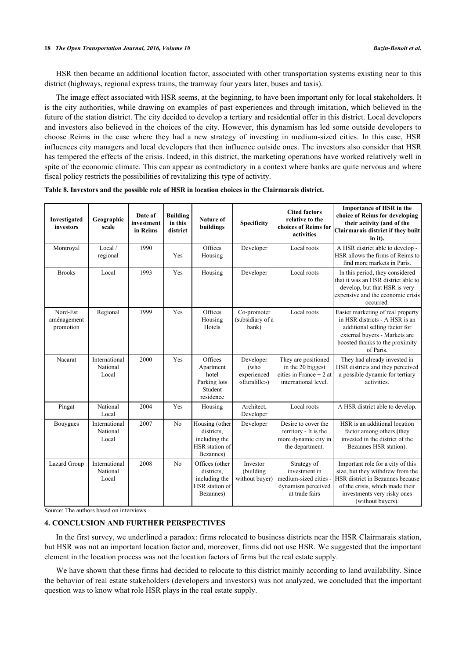HSR then became an additional location factor, associated with other transportation systems existing near to this district (highways, regional express trains, the tramway four years later, buses and taxis).

The image effect associated with HSR seems, at the beginning, to have been important only for local stakeholders. It is the city authorities, while drawing on examples of past experiences and through imitation, which believed in the future of the station district. The city decided to develop a tertiary and residential offer in this district. Local developers and investors also believed in the choices of the city. However, this dynamism has led some outside developers to choose Reims in the case where they had a new strategy of investing in medium-sized cities. In this case, HSR influences city managers and local developers that then influence outside ones. The investors also consider that HSR has tempered the effects of the crisis. Indeed, in this district, the marketing operations have worked relatively well in spite of the economic climate. This can appear as contradictory in a context where banks are quite nervous and where fiscal policy restricts the possibilities of revitalizing this type of activity.

| Investigated<br>investors            | Geographic<br>scale                | Date of<br>investment<br>in Reims | <b>Building</b><br>in this<br>district | <b>Nature of</b><br>buildings                                                | <b>Specificity</b>                               | <b>Cited factors</b><br>relative to the<br>choices of Reims for<br>activities                 | <b>Importance of HSR in the</b><br>choice of Reims for developing<br>their activity (and of the<br>Clairmarais district if they built<br>in it).                                                 |
|--------------------------------------|------------------------------------|-----------------------------------|----------------------------------------|------------------------------------------------------------------------------|--------------------------------------------------|-----------------------------------------------------------------------------------------------|--------------------------------------------------------------------------------------------------------------------------------------------------------------------------------------------------|
| Montroyal                            | Local /<br>regional                | 1990                              | Yes                                    | Offices<br>Housing                                                           | Developer                                        | Local roots                                                                                   | A HSR district able to develop -<br>HSR allows the firms of Reims to<br>find more markets in Paris.                                                                                              |
| <b>Brooks</b>                        | Local                              | 1993                              | Yes                                    | Housing                                                                      | Developer                                        | Local roots                                                                                   | In this period, they considered<br>that it was an HSR district able to<br>develop, but that HSR is very<br>expensive and the economic crisis<br>occurred.                                        |
| Nord-Est<br>aménagement<br>promotion | Regional                           | 1999                              | Yes                                    | Offices<br>Housing<br>Hotels                                                 | Co-promoter<br>(subsidiary of a<br>bank)         | Local roots                                                                                   | Easier marketing of real property<br>in HSR districts - A HSR is an<br>additional selling factor for<br>external buyers - Markets are<br>boosted thanks to the proximity<br>of Paris.            |
| Nacarat                              | International<br>National<br>Local | 2000                              | Yes                                    | Offices<br>Apartment<br>hotel<br>Parking lots<br>Student<br>residence        | Developer<br>(who<br>experienced<br>«Euralille») | They are positioned<br>in the 20 biggest<br>cities in France $+2$ at<br>international level.  | They had already invested in<br>HSR districts and they perceived<br>a possible dynamic for tertiary<br>activities.                                                                               |
| Pingat                               | National<br>Local                  | 2004                              | Yes                                    | Housing                                                                      | Architect,<br>Developer                          | Local roots                                                                                   | A HSR district able to develop.                                                                                                                                                                  |
| Bouygues                             | International<br>National<br>Local | 2007                              | No                                     | Housing (other<br>districts.<br>including the<br>HSR station of<br>Bezannes) | Developer                                        | Desire to cover the<br>territory - It is the<br>more dynamic city in<br>the department.       | HSR is an additional location<br>factor among others (they<br>invested in the district of the<br>Bezannes HSR station).                                                                          |
| Lazard Group                         | International<br>National<br>Local | 2008                              | N <sub>o</sub>                         | Offices (other<br>districts.<br>including the<br>HSR station of<br>Bezannes) | Investor<br>(building<br>without buyer)          | Strategy of<br>investment in<br>medium-sized cities -<br>dynamism perceived<br>at trade fairs | Important role for a city of this<br>size, but they withdrew from the<br>HSR district in Bezannes because<br>of the crisis, which made their<br>investments very risky ones<br>(without buyers). |

<span id="page-11-0"></span>

|  |  | Table 8. Investors and the possible role of HSR in location choices in the Clairmarais district. |
|--|--|--------------------------------------------------------------------------------------------------|
|--|--|--------------------------------------------------------------------------------------------------|

Source: The authors based on interviews

# **4. CONCLUSION AND FURTHER PERSPECTIVES**

In the first survey, we underlined a paradox: firms relocated to business districts near the HSR Clairmarais station, but HSR was not an important location factor and, moreover, firms did not use HSR. We suggested that the important element in the location process was not the location factors of firms but the real estate supply.

We have shown that these firms had decided to relocate to this district mainly according to land availability. Since the behavior of real estate stakeholders (developers and investors) was not analyzed, we concluded that the important question was to know what role HSR plays in the real estate supply.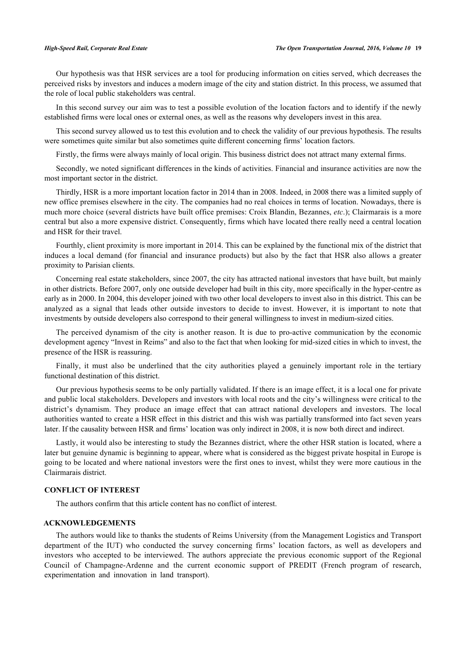Our hypothesis was that HSR services are a tool for producing information on cities served, which decreases the perceived risks by investors and induces a modern image of the city and station district. In this process, we assumed that the role of local public stakeholders was central.

In this second survey our aim was to test a possible evolution of the location factors and to identify if the newly established firms were local ones or external ones, as well as the reasons why developers invest in this area.

This second survey allowed us to test this evolution and to check the validity of our previous hypothesis. The results were sometimes quite similar but also sometimes quite different concerning firms' location factors.

Firstly, the firms were always mainly of local origin. This business district does not attract many external firms.

Secondly, we noted significant differences in the kinds of activities. Financial and insurance activities are now the most important sector in the district.

Thirdly, HSR is a more important location factor in 2014 than in 2008. Indeed, in 2008 there was a limited supply of new office premises elsewhere in the city. The companies had no real choices in terms of location. Nowadays, there is much more choice (several districts have built office premises: Croix Blandin, Bezannes, *etc*.); Clairmarais is a more central but also a more expensive district. Consequently, firms which have located there really need a central location and HSR for their travel.

Fourthly, client proximity is more important in 2014. This can be explained by the functional mix of the district that induces a local demand (for financial and insurance products) but also by the fact that HSR also allows a greater proximity to Parisian clients.

Concerning real estate stakeholders, since 2007, the city has attracted national investors that have built, but mainly in other districts. Before 2007, only one outside developer had built in this city, more specifically in the hyper-centre as early as in 2000. In 2004, this developer joined with two other local developers to invest also in this district. This can be analyzed as a signal that leads other outside investors to decide to invest. However, it is important to note that investments by outside developers also correspond to their general willingness to invest in medium-sized cities.

The perceived dynamism of the city is another reason. It is due to pro-active communication by the economic development agency "Invest in Reims" and also to the fact that when looking for mid-sized cities in which to invest, the presence of the HSR is reassuring.

Finally, it must also be underlined that the city authorities played a genuinely important role in the tertiary functional destination of this district.

Our previous hypothesis seems to be only partially validated. If there is an image effect, it is a local one for private and public local stakeholders. Developers and investors with local roots and the city's willingness were critical to the district's dynamism. They produce an image effect that can attract national developers and investors. The local authorities wanted to create a HSR effect in this district and this wish was partially transformed into fact seven years later. If the causality between HSR and firms' location was only indirect in 2008, it is now both direct and indirect.

Lastly, it would also be interesting to study the Bezannes district, where the other HSR station is located, where a later but genuine dynamic is beginning to appear, where what is considered as the biggest private hospital in Europe is going to be located and where national investors were the first ones to invest, whilst they were more cautious in the Clairmarais district.

# **CONFLICT OF INTEREST**

The authors confirm that this article content has no conflict of interest.

# **ACKNOWLEDGEMENTS**

The authors would like to thanks the students of Reims University (from the Management Logistics and Transport department of the IUT) who conducted the survey concerning firms' location factors, as well as developers and investors who accepted to be interviewed. The authors appreciate the previous economic support of the Regional Council of Champagne-Ardenne and the current economic support of PREDIT (French program of research, experimentation and innovation in land transport).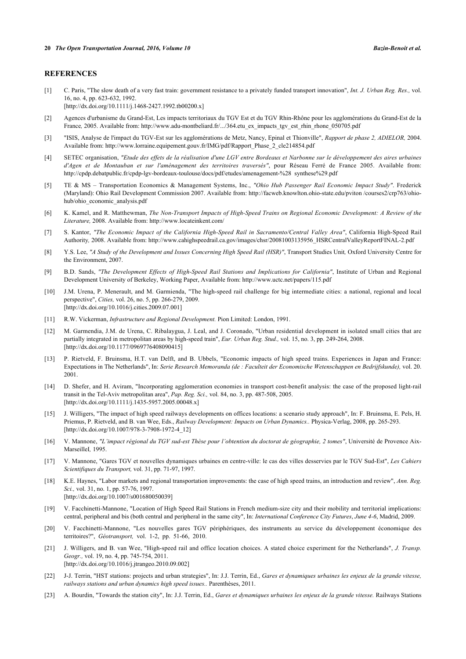# **REFERENCES**

<span id="page-13-0"></span>[1] C. Paris, "The slow death of a very fast train: government resistance to a privately funded transport innovation", *Int. J. Urban Reg. Res.,* vol. 16, no. 4, pp. 623-632, 1992.

[\[http://dx.doi.org/10.1111/j.1468-2427.1992.tb00200.x\]](http://dx.doi.org/10.1111/j.1468-2427.1992.tb00200.x)

- <span id="page-13-2"></span>[2] Agences d'urbanisme du Grand-Est, Les impacts territoriaux du TGV Est et du TGV Rhin-Rhône pour les agglomérations du Grand-Est de la France, 2005. Available from: [http://www.adu-montbeliard.fr/.../364.etu\\_ex\\_impacts\\_tgv\\_est\\_rhin\\_rhone\\_050705.pdf](http://www.adu-montbeliard.fr/.../364.etu_ex_impacts_tgv_est_rhin_rhone_050705.pdf)
- <span id="page-13-3"></span>[3] "ISIS, Analyse de l'impact du TGV-Est sur les agglomérations de Metz, Nancy, Epinal et Thionville", *Rapport de phase 2, ADIELOR,* 2004. Available from: [http://www.lorraine.equipement.gouv.fr/IMG/pdf/Rapport\\_Phase\\_2\\_cle214854.pdf](http://www.lorraine.equipement.gouv.fr/IMG/pdf/Rapport_Phase_2_cle214854.pdf)
- <span id="page-13-1"></span>[4] SETEC organisation, *"Etude des effets de la réalisation d'une LGV entre Bordeaux et Narbonne sur le développement des aires urbaines d'Agen et de Montauban et sur l'aménagement des territoires traversés"*, pour Réseau Ferré de France 2005. Available from: [http://cpdp.debatpublic.fr/cpdp-lgv-bordeaux-toulouse/docs/pdf/etudes/amenagement-%28 synthese%29.pdf](http://cpdp.debatpublic.fr/cpdp-lgv-bordeaux-toulouse/docs/pdf/etudes/amenagement-%28%20synthese%29.pdf)
- <span id="page-13-4"></span>[5] TE & MS – Transportation Economics & Management Systems, Inc., *"Ohio Hub Passenger Rail Economic Impact Study"*. Frederick (Maryland): Ohio Rail Development Commission 2007. Available from: [http://facweb.knowlton.ohio-state.edu/pviton /courses2/crp763/ohio](http://facweb.knowlton.ohio-state.edu/pviton/courses2/crp763/ohio-hub/ohio_economic_analysis.pdf)[hub/ohio\\_economic\\_analysis.pdf](http://facweb.knowlton.ohio-state.edu/pviton/courses2/crp763/ohio-hub/ohio_economic_analysis.pdf)
- <span id="page-13-13"></span>[6] K. Kamel, and R. Matthewman, *The Non-Transport Impacts of High-Speed Trains on Regional Economic Development: A Review of the Literature,* 2008. Available from:<http://www.locateinkent.com/>
- [7] S. Kantor, *"The Economic Impact of the California High-Speed Rail in Sacramento/Central Valley Area"*, California High-Speed Rail Authority*,* 2008. Available from: [http://www.cahighspeedrail.ca.gov/images/chsr/20081003135956\\_HSRCentralValleyReportFINAL-2.pdf](http://www.cahighspeedrail.ca.gov/images/chsr/20081003135956_HSRCentralValleyReportFINAL-2.pdf)
- <span id="page-13-10"></span>[8] Y.S. Lee, *"A Study of the Development and Issues Concerning High Speed Rail (HSR)"*, Transport Studies Unit*,* Oxford University Centre for the Environment, 2007.
- <span id="page-13-6"></span>[9] B.D. Sands, *"The Development Effects of High-Speed Rail Stations and Implications for California"*, Institute of Urban and Regional Development University of Berkeley, Working Paper, Available from: <http://www.uctc.net/papers/115.pdf>
- <span id="page-13-9"></span>[10] J.M. Urena, P. Menerault, and M. Garmienda, "The high-speed rail challenge for big intermediate cities: a national, regional and local perspective", *Cities,* vol. 26, no. 5, pp. 266-279, 2009. [\[http://dx.doi.org/10.1016/j.cities.2009.07.001\]](http://dx.doi.org/10.1016/j.cities.2009.07.001)
- <span id="page-13-5"></span>[11] R.W. Vickerman, *Infrastructure and Regional Development.* Pion Limited: London, 1991.
- <span id="page-13-7"></span>[12] M. Garmendia, J.M. de Urena, C. Ribalaygua, J. Leal, and J. Coronado, "Urban residential development in isolated small cities that are partially integrated in metropolitan areas by high-speed train", *Eur. Urban Reg. Stud.,* vol. 15, no. 3, pp. 249-264, 2008. [\[http://dx.doi.org/10.1177/0969776408090415\]](http://dx.doi.org/10.1177/0969776408090415)
- [13] P. Rietveld, F. Bruinsma, H.T. van Delft, and B. Ubbels, "Economic impacts of high speed trains. Experiences in Japan and France: Expectations in The Netherlands", In: *Serie Research Memoranda (de : Faculteit der Economische Wetenschappen en Bedrijfskunde),* vol. 20. 2001.
- <span id="page-13-8"></span>[14] D. Shefer, and H. Aviram, "Incorporating agglomeration economies in transport cost-benefit analysis: the case of the proposed light-rail transit in the Tel-Aviv metropolitan area", *Pap. Reg. Sci.,* vol. 84, no. 3, pp. 487-508, 2005. [\[http://dx.doi.org/10.1111/j.1435-5957.2005.00048.x\]](http://dx.doi.org/10.1111/j.1435-5957.2005.00048.x)
- <span id="page-13-11"></span>[15] J. Willigers, "The impact of high speed railways developments on offices locations: a scenario study approach", In: F. Bruinsma, E. Pels, H. Priemus, P. Rietveld, and B. van Wee, Eds., *Railway Development: Impacts on Urban Dynamics..* Physica-Verlag, 2008, pp. 265-293. [\[http://dx.doi.org/10.1007/978-3-7908-1972-4\\_12](http://dx.doi.org/10.1007/978-3-7908-1972-4_12)]
- <span id="page-13-12"></span>[16] V. Mannone, *"L'impact régional du TGV sud-est Thèse pour l'obtention du doctorat de géographie, 2 tomes"*, Université de Provence Aix-MarseilleI*,* 1995.
- <span id="page-13-14"></span>[17] V. Mannone, "Gares TGV et nouvelles dynamiques urbaines en centre-ville: le cas des villes desservies par le TGV Sud-Est", *Les Cahiers Scientifiques du Transport,* vol. 31, pp. 71-97, 1997.
- <span id="page-13-15"></span>[18] K.E. Haynes, "Labor markets and regional transportation improvements: the case of high speed trains, an introduction and review", *Ann. Reg. Sci.,* vol. 31, no. 1, pp. 57-76, 1997. [\[http://dx.doi.org/10.1007/s001680050039\]](http://dx.doi.org/10.1007/s001680050039)
- <span id="page-13-16"></span>[19] V. Facchinetti-Mannone, "Location of High Speed Rail Stations in French medium-size city and their mobility and territorial implications: central, peripheral and bis (both central and peripheral in the same city", In: *International Conference City Futures*, *June 4-6*, Madrid, 2009.
- <span id="page-13-17"></span>[20] V. Facchinetti-Mannone, "Les nouvelles gares TGV périphériques, des instruments au service du développement économique des territoires?", *Géotransport,* vol. 1-2, pp. 51-66, 2010.
- <span id="page-13-18"></span>[21] J. Willigers, and B. van Wee, "High-speed rail and office location choices. A stated choice experiment for the Netherlands", *J. Transp. Geogr.,* vol. 19, no. 4, pp. 745-754, 2011. [\[http://dx.doi.org/10.1016/j.jtrangeo.2010.09.002](http://dx.doi.org/10.1016/j.jtrangeo.2010.09.002)]
- <span id="page-13-19"></span>[22] J-J. Terrin, "HST stations: projects and urban strategies", In: J.J. Terrin, Ed., *Gares et dynamiques urbaines les enjeux de la grande vitesse, railways stations and urban dynamics high speed issues..* Parenthèses, 2011.
- <span id="page-13-20"></span>[23] A. Bourdin, "Towards the station city", In: J.J. Terrin, Ed., *Gares et dynamiques urbaines les enjeux de la grande vitesse.* Railways Stations